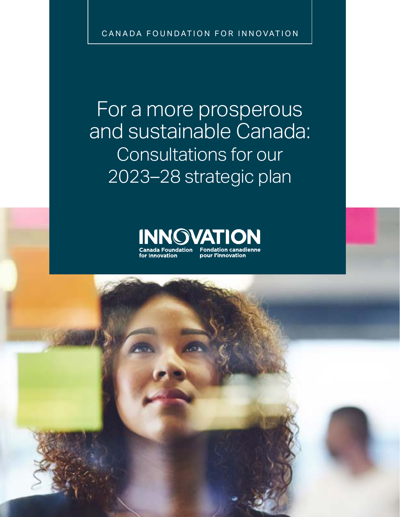CANADA FOUNDATION FOR INNOVATION

For a more prosperous and sustainable Canada: Consultations for our 2023–28 strategic plan



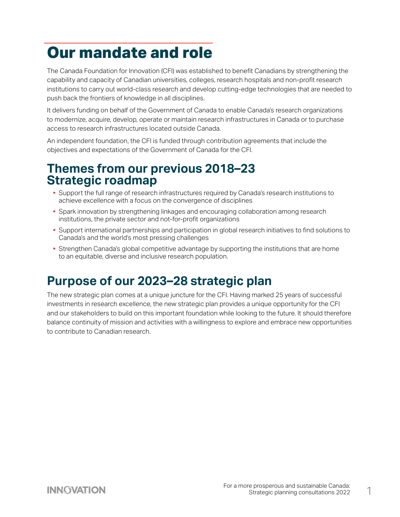# **Our mandate and role**

The Canada Foundation for Innovation (CFI) was established to benefit Canadians by strengthening the capability and capacity of Canadian universities, colleges, research hospitals and non-profit research institutions to carry out world-class research and develop cutting-edge technologies that are needed to push back the frontiers of knowledge in all disciplines.

It delivers funding on behalf of the Government of Canada to enable Canada's research organizations to modernize, acquire, develop, operate or maintain research infrastructures in Canada or to purchase access to research infrastructures located outside Canada.

An independent foundation, the CFI is funded through contribution agreements that include the objectives and expectations of the Government of Canada for the CFI.

#### **Themes from our previous 2018–23 Strategic roadmap**

- **•** Support the full range of research infrastructures required by Canada's research institutions to achieve excellence with a focus on the convergence of disciplines
- **•** Spark innovation by strengthening linkages and encouraging collaboration among research institutions, the private sector and not-for-profit organizations
- **•** Support international partnerships and participation in global research initiatives to find solutions to Canada's and the world's most pressing challenges
- **•** Strengthen Canada's global competitive advantage by supporting the institutions that are home to an equitable, diverse and inclusive research population.

#### **Purpose of our 2023–28 strategic plan**

The new strategic plan comes at a unique juncture for the CFI. Having marked 25 years of successful investments in research excellence, the new strategic plan provides a unique opportunity for the CFI and our stakeholders to build on this important foundation while looking to the future. It should therefore balance continuity of mission and activities with a willingness to explore and embrace new opportunities to contribute to Canadian research.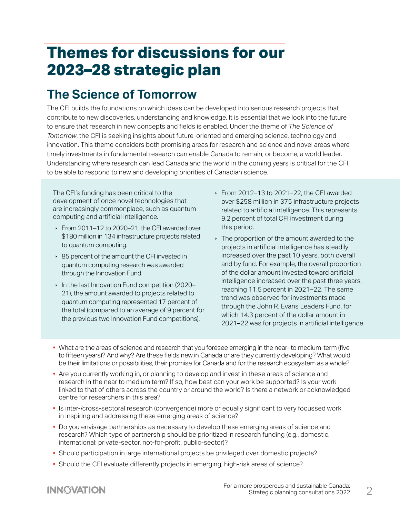## **Themes for discussions for our 2023–28 strategic plan**

### **The Science of Tomorrow**

The CFI builds the foundations on which ideas can be developed into serious research projects that contribute to new discoveries, understanding and knowledge. It is essential that we look into the future to ensure that research in new concepts and fields is enabled. Under the theme of *The Science of Tomorrow*, the CFI is seeking insights about future-oriented and emerging science, technology and innovation. This theme considers both promising areas for research and science and novel areas where timely investments in fundamental research can enable Canada to remain, or become, a world leader. Understanding where research can lead Canada and the world in the coming years is critical for the CFI to be able to respond to new and developing priorities of Canadian science.

The CFI's funding has been critical to the development of once novel technologies that are increasingly commonplace, such as quantum computing and artificial intelligence.

- $\cdot$  From 2011–12 to 2020–21, the CFI awarded over \$180 million in 134 infrastructure projects related to quantum computing.
- ▶ 85 percent of the amount the CFI invested in quantum computing research was awarded through the Innovation Fund.
- $\cdot$  In the last Innovation Fund competition (2020– 21), the amount awarded to projects related to quantum computing represented 17 percent of the total (compared to an average of 9 percent for the previous two Innovation Fund competitions).
- $\cdot$  From 2012–13 to 2021–22, the CFI awarded over \$258 million in 375 infrastructure projects related to artificial intelligence. This represents 9.2 percent of total CFI investment during this period.
- $\cdot$  The proportion of the amount awarded to the projects in artificial intelligence has steadily increased over the past 10 years, both overall and by fund. For example, the overall proportion of the dollar amount invested toward artificial intelligence increased over the past three years, reaching 11.5 percent in 2021–22. The same trend was observed for investments made through the John R. Evans Leaders Fund, for which 14.3 percent of the dollar amount in 2021–22 was for projects in artificial intelligence.
- **•** What are the areas of science and research that you foresee emerging in the near- to medium-term (five to fifteen years)? And why? Are these fields new in Canada or are they currently developing? What would be their limitations or possibilities, their promise for Canada and for the research ecosystem as a whole?
- **•** Are you currently working in, or planning to develop and invest in these areas of science and research in the near to medium term? If so, how best can your work be supported? Is your work linked to that of others across the country or around the world? Is there a network or acknowledged centre for researchers in this area?
- **•** Is inter-/cross-sectoral research (convergence) more or equally significant to very focussed work in inspiring and addressing these emerging areas of science?
- **•** Do you envisage partnerships as necessary to develop these emerging areas of science and research? Which type of partnership should be prioritized in research funding (e.g., domestic, international; private-sector, not-for-profit, public-sector)?
- **•** Should participation in large international projects be privileged over domestic projects?
- **•** Should the CFI evaluate differently projects in emerging, high-risk areas of science?

#### **INNOVATION**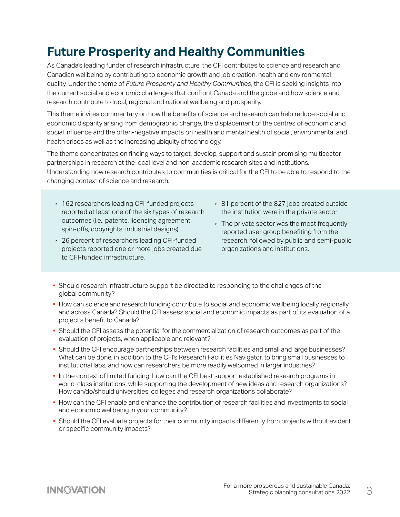### **Future Prosperity and Healthy Communities**

As Canada's leading funder of research infrastructure, the CFI contributes to science and research and Canadian wellbeing by contributing to economic growth and job creation, health and environmental quality. Under the theme of *Future Prosperity and Healthy Communities*, the CFI is seeking insights into the current social and economic challenges that confront Canada and the globe and how science and research contribute to local, regional and national wellbeing and prosperity.

This theme invites commentary on how the benefits of science and research can help reduce social and economic disparity arising from demographic change, the displacement of the centres of economic and social influence and the often-negative impacts on health and mental health of social, environmental and health crises as well as the increasing ubiquity of technology.

The theme concentrates on finding ways to target, develop, support and sustain promising multisector partnerships in research at the local level and non-academic research sites and institutions. Understanding how research contributes to communities is critical for the CFI to be able to respond to the changing context of science and research.

- ▶ 162 researchers leading CFI-funded projects reported at least one of the six types of research outcomes (i.e., patents, licensing agreement, spin-offs, copyrights, industrial designs).
- ▶ 26 percent of researchers leading CFI-funded projects reported one or more jobs created due to CFI-funded infrastructure.
- ▶ 81 percent of the 827 jobs created outside the institution were in the private sector.
- $\cdot$  The private sector was the most frequently reported user group benefiting from the research, followed by public and semi-public organizations and institutions.
- **•** Should research infrastructure support be directed to responding to the challenges of the global community?
- **•** How can science and research funding contribute to social and economic wellbeing locally, regionally and across Canada? Should the CFI assess social and economic impacts as part of its evaluation of a project's benefit to Canada?
- **•** Should the CFI assess the potential for the commercialization of research outcomes as part of the evaluation of projects, when applicable and relevant?
- **•** Should the CFI encourage partnerships between research facilities and small and large businesses? What can be done, in addition to the CFI's Research Facilities Navigator, to bring small businesses to institutional labs, and how can researchers be more readily welcomed in larger industries?
- **•** In the context of limited funding, how can the CFI best support established research programs in world-class institutions, while supporting the development of new ideas and research organizations? How can/do/should universities, colleges and research organizations collaborate?
- **•** How can the CFI enable and enhance the contribution of research facilities and investments to social and economic wellbeing in your community?
- **•** Should the CFI evaluate projects for their community impacts differently from projects without evident or specific community impacts?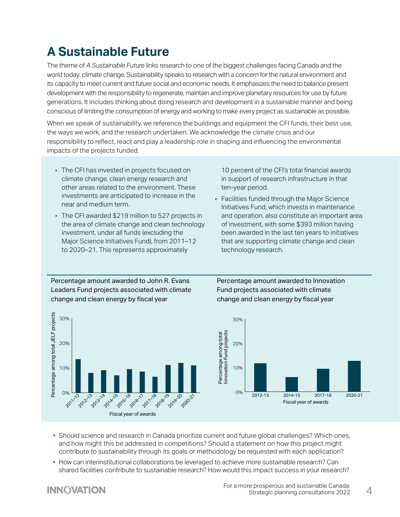## **A Sustainable Future**

The theme of *A Sustainable Future* links research to one of the biggest challenges facing Canada and the world today: climate change. Sustainability speaks to research with a concern for the natural environment and its capacity to meet current and future social and economic needs. It emphasizes the need to balance present development with the responsibility to regenerate, maintain and improve planetary resources for use by future generations. It includes thinking about doing research and development in a sustainable manner and being conscious of limiting the consumption of energy and working to make every project as sustainable as possible.

When we speak of sustainability, we reference the buildings and equipment the CFI funds, their best use, the ways we work, and the research undertaken. We acknowledge the climate crisis and our responsibility to reflect, react and play a leadership role in shaping and influencing the environmental impacts of the projects funded.

- $\cdot$  The CFI has invested in projects focused on climate change, clean energy research and other areas related to the environment. These investments are anticipated to increase in the near and medium term.
- $\cdot$  The CFI awarded \$219 million to 527 projects in the area of climate change and clean technology investment, under all funds (excluding the Major Science Initiatives Fund), from 2011–12 to 2020–21. This represents approximately

10 percent of the CFI's total financial awards in support of research infrastructure in that ten-year period.

 $\cdot$  Facilities funded through the Major Science Initiatives Fund, which invests in maintenance and operation, also constitute an important area of investment, with some \$393 million having been awarded in the last ten years to initiatives that are supporting climate change and clean technology research.

Percentage amount awarded to John R. Evans Leaders Fund projects associated with climate change and clean energy by fiscal year



Percentage amount awarded to Innovation Fund projects associated with climate change and clean energy by fiscal year



- **•** Should science and research in Canada prioritize current and future global challenges? Which ones, and how might this be addressed in competitions? Should a statement on how this project might contribute to sustainability through its goals or methodology be requested with each application?
- **•** How can interinstitutional collaborations be leveraged to achieve more sustainable research? Can shared facilities contribute to sustainable research? How would this impact success in your research?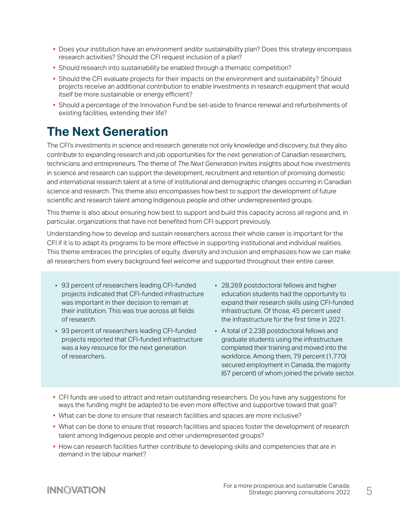- **•** Does your institution have an environment and/or sustainability plan? Does this strategy encompass research activities? Should the CFI request inclusion of a plan?
- **•** Should research into sustainability be enabled through a thematic competition?
- **•** Should the CFI evaluate projects for their impacts on the environment and sustainability? Should projects receive an additional contribution to enable investments in research equipment that would itself be more sustainable or energy efficient?
- **•** Should a percentage of the Innovation Fund be set-aside to finance renewal and refurbishments of existing facilities, extending their life?

#### **The Next Generation**

The CFI's investments in science and research generate not only knowledge and discovery, but they also contribute to expanding research and job opportunities for the next generation of Canadian researchers, technicians and entrepreneurs. The theme of *The Next Generation* invites insights about how investments in science and research can support the development, recruitment and retention of promising domestic and international research talent at a time of institutional and demographic changes occurring in Canadian science and research. This theme also encompasses how best to support the development of future scientific and research talent among Indigenous people and other underrepresented groups.

This theme is also about ensuring how best to support and build this capacity across all regions and, in particular, organizations that have not benefited from CFI support previously.

Understanding how to develop and sustain researchers across their whole career is important for the CFI if it is to adapt its programs to be more effective in supporting institutional and individual realities. This theme embraces the principles of equity, diversity and inclusion and emphasizes how we can make all researchers from every background feel welcome and supported throughout their entire career.

- ▸ 93 percent of researchers leading CFI-funded projects indicated that CFI-funded infrastructure was important in their decision to remain at their institution. This was true across all fields of research.
- 93 percent of researchers leading CFI-funded projects reported that CFI-funded infrastructure was a key resource for the next generation of researchers.
- ▶ 28,269 postdoctoral fellows and higher education students had the opportunity to expand their research skills using CFI-funded infrastructure. Of those, 45 percent used the infrastructure for the first time in 2021.
- A total of 2,238 postdoctoral fellows and graduate students using the infrastructure completed their training and moved into the workforce. Among them, 79 percent (1,770) secured employment in Canada, the majority (67 percent) of whom joined the private sector.
- **•** CFI funds are used to attract and retain outstanding researchers. Do you have any suggestions for ways the funding might be adapted to be even more effective and supportive toward that goal?
- **•** What can be done to ensure that research facilities and spaces are more inclusive?
- **•** What can be done to ensure that research facilities and spaces foster the development of research talent among Indigenous people and other underrepresented groups?
- **•** How can research facilities further contribute to developing skills and competencies that are in demand in the labour market?

#### **INNOVATION**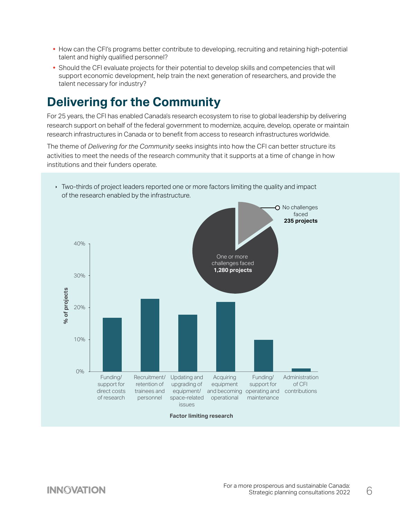- **•** How can the CFI's programs better contribute to developing, recruiting and retaining high-potential talent and highly qualified personnel?
- **•** Should the CFI evaluate projects for their potential to develop skills and competencies that will support economic development, help train the next generation of researchers, and provide the talent necessary for industry?

### **Delivering for the Community**

For 25 years, the CFI has enabled Canada's research ecosystem to rise to global leadership by delivering research support on behalf of the federal government to modernize, acquire, develop, operate or maintain research infrastructures in Canada or to benefit from access to research infrastructures worldwide.

The theme of *Delivering for the Community* seeks insights into how the CFI can better structure its activities to meet the needs of the research community that it supports at a time of change in how institutions and their funders operate.



**IV** Two-thirds of project leaders reported one or more factors limiting the quality and impact of the research enabled by the infrastructure.